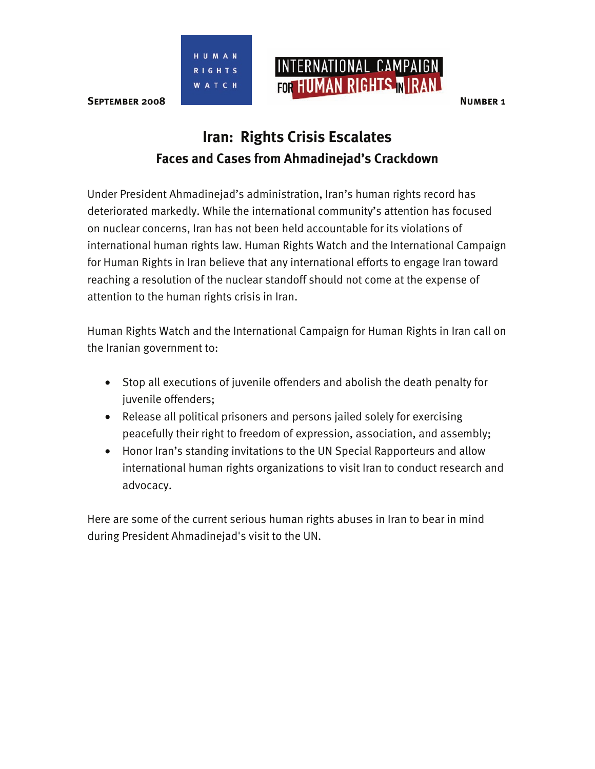



# **Iran: Rights Crisis Escalates Faces and Cases from Ahmadinejad's Crackdown**

Under President Ahmadinejad's administration, Iran's human rights record has deteriorated markedly. While the international community's attention has focused on nuclear concerns, Iran has not been held accountable for its violations of international human rights law. Human Rights Watch and the International Campaign for Human Rights in Iran believe that any international efforts to engage Iran toward reaching a resolution of the nuclear standoff should not come at the expense of attention to the human rights crisis in Iran.

Human Rights Watch and the International Campaign for Human Rights in Iran call on the Iranian government to:

- Stop all executions of juvenile offenders and abolish the death penalty for juvenile offenders;
- Release all political prisoners and persons jailed solely for exercising peacefully their right to freedom of expression, association, and assembly;
- Honor Iran's standing invitations to the UN Special Rapporteurs and allow international human rights organizations to visit Iran to conduct research and advocacy.

Here are some of the current serious human rights abuses in Iran to bear in mind during President Ahmadinejad's visit to the UN.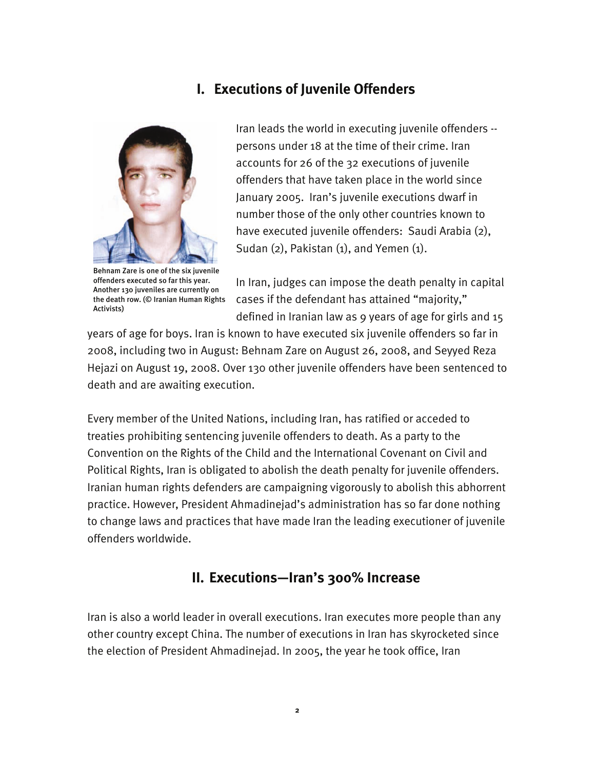## **I. Executions of Juvenile Offenders**



Behnam Zare is one of the six juvenile offenders executed so far this year. Another 130 juveniles are currently on the death row. (© Iranian Human Rights Activists)

Iran leads the world in executing juvenile offenders - persons under 18 at the time of their crime. Iran accounts for 26 of the 32 executions of juvenile offenders that have taken place in the world since January 2005. Iran's juvenile executions dwarf in number those of the only other countries known to have executed juvenile offenders: Saudi Arabia (2), Sudan  $(2)$ , Pakistan  $(1)$ , and Yemen  $(1)$ .

In Iran, judges can impose the death penalty in capital cases if the defendant has attained "majority," defined in Iranian law as 9 years of age for girls and 15

years of age for boys. Iran is known to have executed six juvenile offenders so far in 2008, including two in August: Behnam Zare on August 26, 2008, and Seyyed Reza Hejazi on August 19, 2008. Over 130 other juvenile offenders have been sentenced to death and are awaiting execution.

Every member of the United Nations, including Iran, has ratified or acceded to treaties prohibiting sentencing juvenile offenders to death. As a party to the Convention on the Rights of the Child and the International Covenant on Civil and Political Rights, Iran is obligated to abolish the death penalty for juvenile offenders. Iranian human rights defenders are campaigning vigorously to abolish this abhorrent practice. However, President Ahmadinejad's administration has so far done nothing to change laws and practices that have made Iran the leading executioner of juvenile offenders worldwide.

#### **II. Executions—Iran's 300% Increase**

Iran is also a world leader in overall executions. Iran executes more people than any other country except China. The number of executions in Iran has skyrocketed since the election of President Ahmadinejad. In 2005, the year he took office, Iran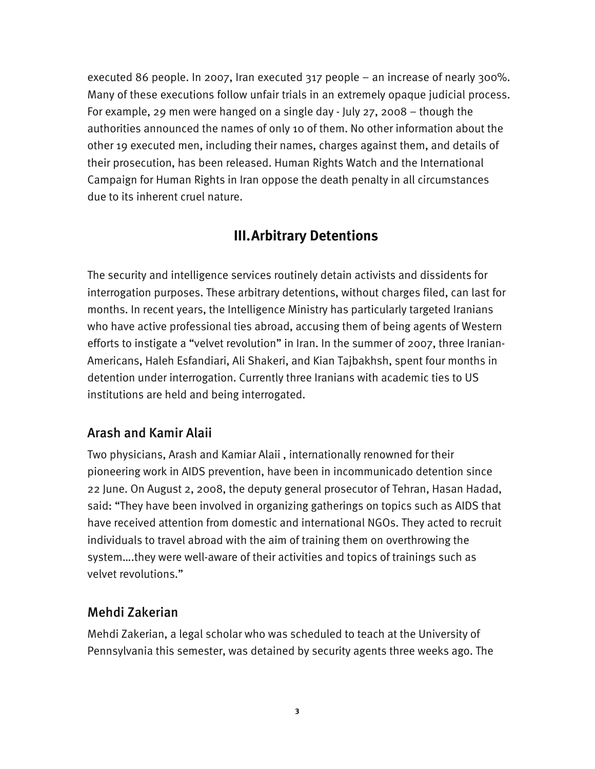executed 86 people. In 2007, Iran executed 317 people – an increase of nearly 300%. Many of these executions follow unfair trials in an extremely opaque judicial process. For example, 29 men were hanged on a single day - July 27, 2008 – though the authorities announced the names of only 10 of them. No other information about the other 19 executed men, including their names, charges against them, and details of their prosecution, has been released. Human Rights Watch and the International Campaign for Human Rights in Iran oppose the death penalty in all circumstances due to its inherent cruel nature.

# **III.Arbitrary Detentions**

The security and intelligence services routinely detain activists and dissidents for interrogation purposes. These arbitrary detentions, without charges filed, can last for months. In recent years, the Intelligence Ministry has particularly targeted Iranians who have active professional ties abroad, accusing them of being agents of Western efforts to instigate a "velvet revolution" in Iran. In the summer of 2007, three Iranian-Americans, Haleh Esfandiari, Ali Shakeri, and Kian Tajbakhsh, spent four months in detention under interrogation. Currently three Iranians with academic ties to US institutions are held and being interrogated.

#### Arash and Kamir Alaii

Two physicians, Arash and Kamiar Alaii , internationally renowned for their pioneering work in AIDS prevention, have been in incommunicado detention since 22 June. On August 2, 2008, the deputy general prosecutor of Tehran, Hasan Hadad, said: "They have been involved in organizing gatherings on topics such as AIDS that have received attention from domestic and international NGOs. They acted to recruit individuals to travel abroad with the aim of training them on overthrowing the system….they were well-aware of their activities and topics of trainings such as velvet revolutions."

#### Mehdi Zakerian

Mehdi Zakerian, a legal scholar who was scheduled to teach at the University of Pennsylvania this semester, was detained by security agents three weeks ago. The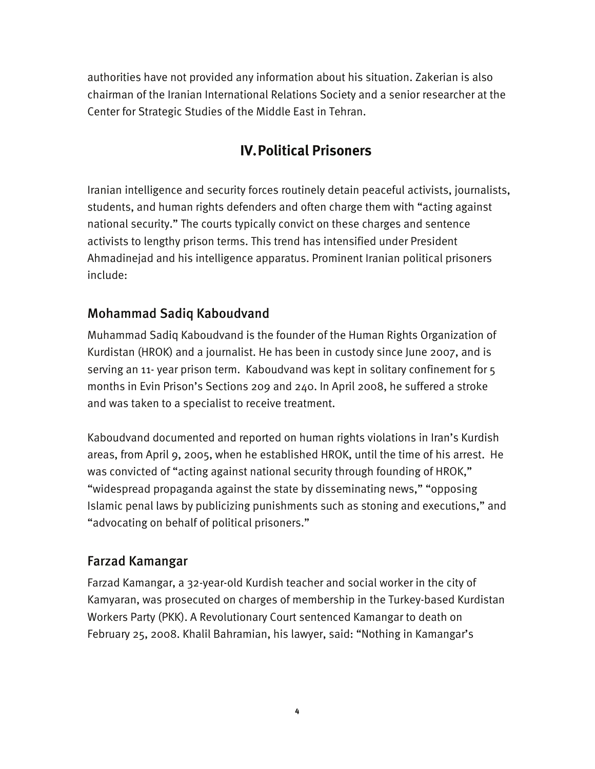authorities have not provided any information about his situation. Zakerian is also chairman of the Iranian International Relations Society and a senior researcher at the Center for Strategic Studies of the Middle East in Tehran.

# **IV.Political Prisoners**

Iranian intelligence and security forces routinely detain peaceful activists, journalists, students, and human rights defenders and often charge them with "acting against national security." The courts typically convict on these charges and sentence activists to lengthy prison terms. This trend has intensified under President Ahmadinejad and his intelligence apparatus. Prominent Iranian political prisoners include:

### Mohammad Sadiq Kaboudvand

Muhammad Sadiq Kaboudvand is the founder of the Human Rights Organization of Kurdistan (HROK) and a journalist. He has been in custody since June 2007, and is serving an 11- year prison term. Kaboudvand was kept in solitary confinement for 5 months in Evin Prison's Sections 209 and 240. In April 2008, he suffered a stroke and was taken to a specialist to receive treatment.

Kaboudvand documented and reported on human rights violations in Iran's Kurdish areas, from April 9, 2005, when he established HROK, until the time of his arrest. He was convicted of "acting against national security through founding of HROK," "widespread propaganda against the state by disseminating news," "opposing Islamic penal laws by publicizing punishments such as stoning and executions," and "advocating on behalf of political prisoners."

#### Farzad Kamangar

Farzad Kamangar, a 32-year-old Kurdish teacher and social worker in the city of Kamyaran, was prosecuted on charges of membership in the Turkey-based Kurdistan Workers Party (PKK). A Revolutionary Court sentenced Kamangar to death on February 25, 2008. Khalil Bahramian, his lawyer, said: "Nothing in Kamangar's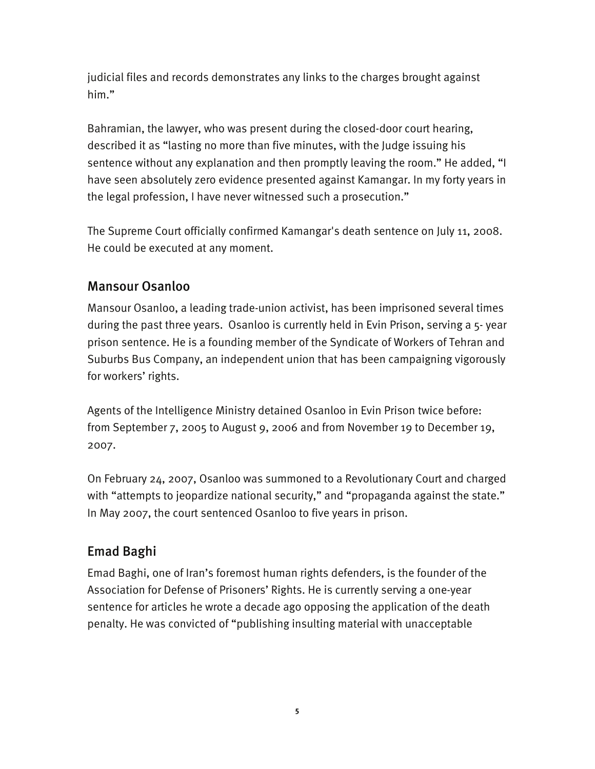judicial files and records demonstrates any links to the charges brought against him."

Bahramian, the lawyer, who was present during the closed-door court hearing, described it as "lasting no more than five minutes, with the Judge issuing his sentence without any explanation and then promptly leaving the room." He added, "I have seen absolutely zero evidence presented against Kamangar. In my forty years in the legal profession, I have never witnessed such a prosecution."

The Supreme Court officially confirmed Kamangar's death sentence on July 11, 2008. He could be executed at any moment.

#### Mansour Osanloo

Mansour Osanloo, a leading trade-union activist, has been imprisoned several times during the past three years. Osanloo is currently held in Evin Prison, serving a 5- year prison sentence. He is a founding member of the Syndicate of Workers of Tehran and Suburbs Bus Company, an independent union that has been campaigning vigorously for workers' rights.

Agents of the Intelligence Ministry detained Osanloo in Evin Prison twice before: from September 7, 2005 to August 9, 2006 and from November 19 to December 19, 2007.

On February 24, 2007, Osanloo was summoned to a Revolutionary Court and charged with "attempts to jeopardize national security," and "propaganda against the state." In May 2007, the court sentenced Osanloo to five years in prison.

### Emad Baghi

Emad Baghi, one of Iran's foremost human rights defenders, is the founder of the Association for Defense of Prisoners' Rights. He is currently serving a one-year sentence for articles he wrote a decade ago opposing the application of the death penalty. He was convicted of "publishing insulting material with unacceptable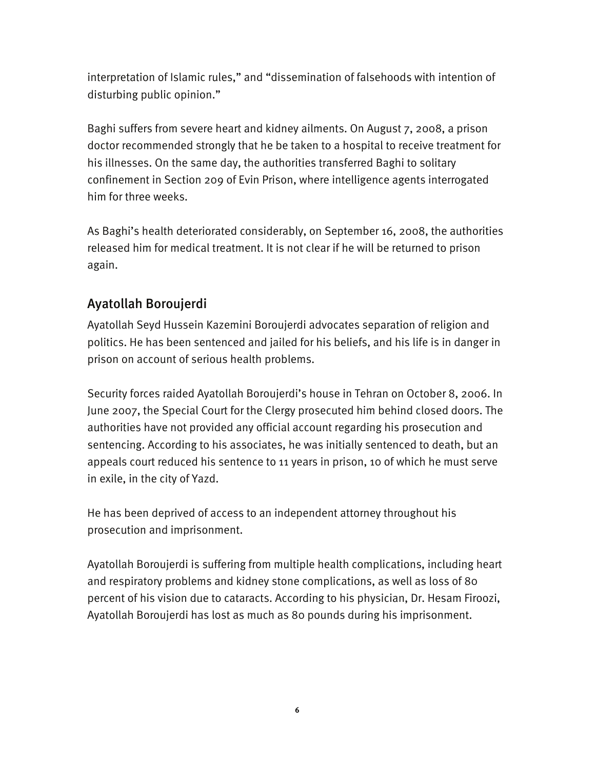interpretation of Islamic rules," and "dissemination of falsehoods with intention of disturbing public opinion."

Baghi suffers from severe heart and kidney ailments. On August 7, 2008, a prison doctor recommended strongly that he be taken to a hospital to receive treatment for his illnesses. On the same day, the authorities transferred Baghi to solitary confinement in Section 209 of Evin Prison, where intelligence agents interrogated him for three weeks.

As Baghi's health deteriorated considerably, on September 16, 2008, the authorities released him for medical treatment. It is not clear if he will be returned to prison again.

# Ayatollah Boroujerdi

Ayatollah Seyd Hussein Kazemini Boroujerdi advocates separation of religion and politics. He has been sentenced and jailed for his beliefs, and his life is in danger in prison on account of serious health problems.

Security forces raided Ayatollah Boroujerdi's house in Tehran on October 8, 2006. In June 2007, the Special Court for the Clergy prosecuted him behind closed doors. The authorities have not provided any official account regarding his prosecution and sentencing. According to his associates, he was initially sentenced to death, but an appeals court reduced his sentence to 11 years in prison, 10 of which he must serve in exile, in the city of Yazd.

He has been deprived of access to an independent attorney throughout his prosecution and imprisonment.

Ayatollah Boroujerdi is suffering from multiple health complications, including heart and respiratory problems and kidney stone complications, as well as loss of 80 percent of his vision due to cataracts. According to his physician, Dr. Hesam Firoozi, Ayatollah Boroujerdi has lost as much as 80 pounds during his imprisonment.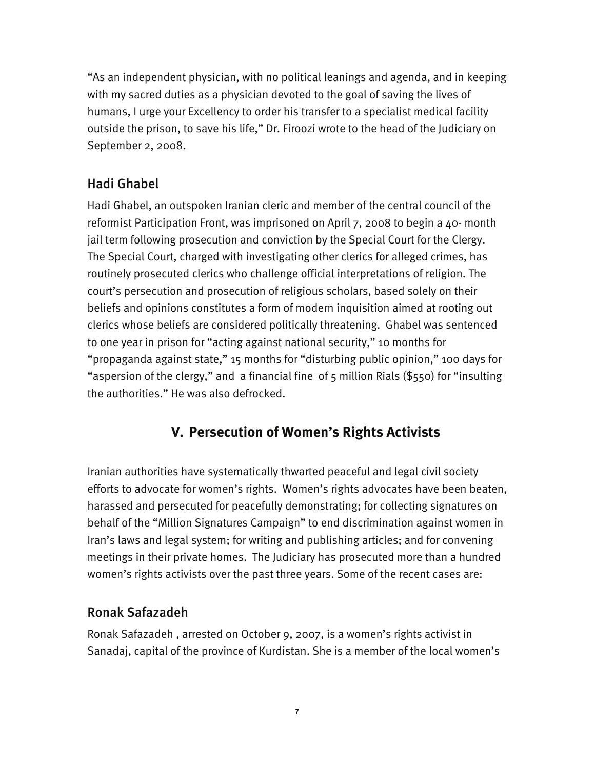"As an independent physician, with no political leanings and agenda, and in keeping with my sacred duties as a physician devoted to the goal of saving the lives of humans, I urge your Excellency to order his transfer to a specialist medical facility outside the prison, to save his life," Dr. Firoozi wrote to the head of the Judiciary on September 2, 2008.

## Hadi Ghabel

Hadi Ghabel, an outspoken Iranian cleric and member of the central council of the reformist Participation Front, was imprisoned on April 7, 2008 to begin a 40- month jail term following prosecution and conviction by the Special Court for the Clergy. The Special Court, charged with investigating other clerics for alleged crimes, has routinely prosecuted clerics who challenge official interpretations of religion. The court's persecution and prosecution of religious scholars, based solely on their beliefs and opinions constitutes a form of modern inquisition aimed at rooting out clerics whose beliefs are considered politically threatening. Ghabel was sentenced to one year in prison for "acting against national security," 10 months for "propaganda against state," 15 months for "disturbing public opinion," 100 days for "aspersion of the clergy," and a financial fine of 5 million Rials (\$550) for "insulting the authorities." He was also defrocked.

# **V. Persecution of Women's Rights Activists**

Iranian authorities have systematically thwarted peaceful and legal civil society efforts to advocate for women's rights. Women's rights advocates have been beaten, harassed and persecuted for peacefully demonstrating; for collecting signatures on behalf of the "Million Signatures Campaign" to end discrimination against women in Iran's laws and legal system; for writing and publishing articles; and for convening meetings in their private homes. The Judiciary has prosecuted more than a hundred women's rights activists over the past three years. Some of the recent cases are:

### Ronak Safazadeh

Ronak Safazadeh , arrested on October 9, 2007, is a women's rights activist in Sanadaj, capital of the province of Kurdistan. She is a member of the local women's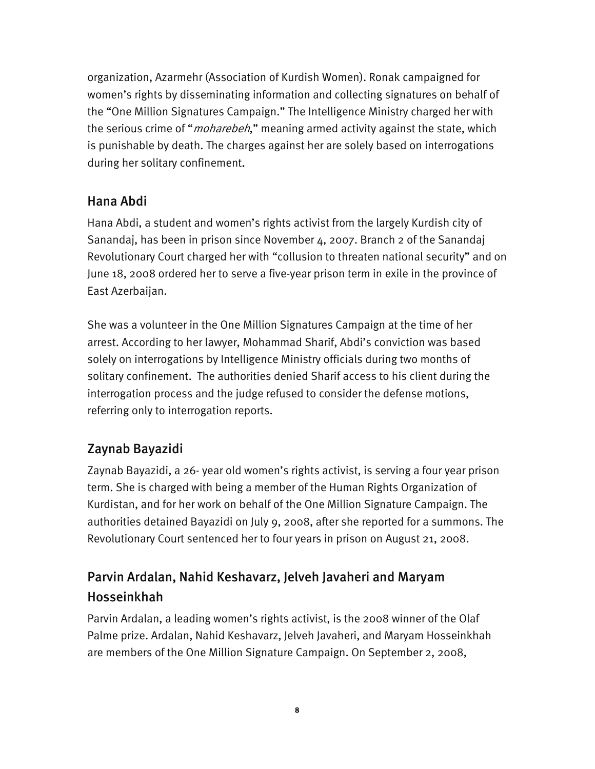organization, Azarmehr (Association of Kurdish Women). Ronak campaigned for women's rights by disseminating information and collecting signatures on behalf of the "One Million Signatures Campaign." The Intelligence Ministry charged her with the serious crime of "*moharebeh*," meaning armed activity against the state, which is punishable by death. The charges against her are solely based on interrogations during her solitary confinement.

#### Hana Abdi

Hana Abdi, a student and women's rights activist from the largely Kurdish city of Sanandaj, has been in prison since November 4, 2007. Branch 2 of the Sanandaj Revolutionary Court charged her with "collusion to threaten national security" and on June 18, 2008 ordered her to serve a five-year prison term in exile in the province of East Azerbaijan.

She was a volunteer in the One Million Signatures Campaign at the time of her arrest. According to her lawyer, Mohammad Sharif, Abdi's conviction was based solely on interrogations by Intelligence Ministry officials during two months of solitary confinement. The authorities denied Sharif access to his client during the interrogation process and the judge refused to consider the defense motions, referring only to interrogation reports.

### Zaynab Bayazidi

Zaynab Bayazidi, a 26- year old women's rights activist, is serving a four year prison term. She is charged with being a member of the Human Rights Organization of Kurdistan, and for her work on behalf of the One Million Signature Campaign. The authorities detained Bayazidi on July 9, 2008, after she reported for a summons. The Revolutionary Court sentenced her to four years in prison on August 21, 2008.

# Parvin Ardalan, Nahid Keshavarz, Jelveh Javaheri and Maryam Hosseinkhah

Parvin Ardalan, a leading women's rights activist, is the 2008 winner of the Olaf Palme prize. Ardalan, Nahid Keshavarz, Jelveh Javaheri, and Maryam Hosseinkhah are members of the One Million Signature Campaign. On September 2, 2008,